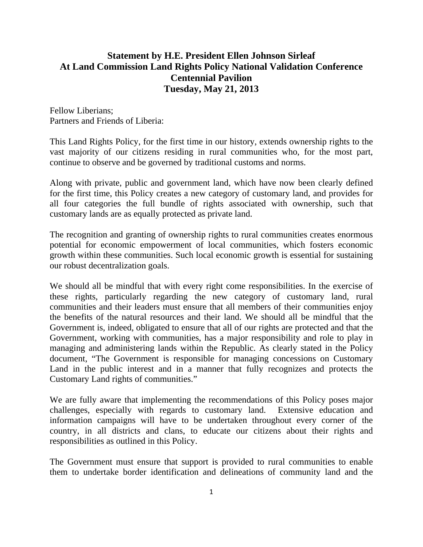## **Statement by H.E. President Ellen Johnson Sirleaf At Land Commission Land Rights Policy National Validation Conference Centennial Pavilion Tuesday, May 21, 2013**

Fellow Liberians; Partners and Friends of Liberia:

This Land Rights Policy, for the first time in our history, extends ownership rights to the vast majority of our citizens residing in rural communities who, for the most part, continue to observe and be governed by traditional customs and norms.

Along with private, public and government land, which have now been clearly defined for the first time, this Policy creates a new category of customary land, and provides for all four categories the full bundle of rights associated with ownership, such that customary lands are as equally protected as private land.

The recognition and granting of ownership rights to rural communities creates enormous potential for economic empowerment of local communities, which fosters economic growth within these communities. Such local economic growth is essential for sustaining our robust decentralization goals.

We should all be mindful that with every right come responsibilities. In the exercise of these rights, particularly regarding the new category of customary land, rural communities and their leaders must ensure that all members of their communities enjoy the benefits of the natural resources and their land. We should all be mindful that the Government is, indeed, obligated to ensure that all of our rights are protected and that the Government, working with communities, has a major responsibility and role to play in managing and administering lands within the Republic. As clearly stated in the Policy document, "The Government is responsible for managing concessions on Customary Land in the public interest and in a manner that fully recognizes and protects the Customary Land rights of communities."

We are fully aware that implementing the recommendations of this Policy poses major challenges, especially with regards to customary land. Extensive education and information campaigns will have to be undertaken throughout every corner of the country, in all districts and clans, to educate our citizens about their rights and responsibilities as outlined in this Policy.

The Government must ensure that support is provided to rural communities to enable them to undertake border identification and delineations of community land and the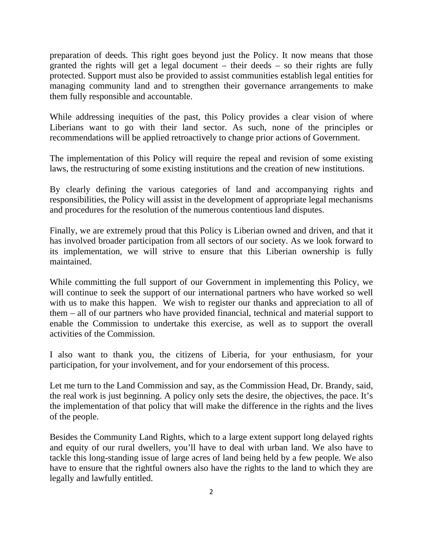preparation of deeds. This right goes beyond just the Policy. It now means that those granted the rights will get a legal document – their deeds – so their rights are fully protected. Support must also be provided to assist communities establish legal entities for managing community land and to strengthen their governance arrangements to make them fully responsible and accountable.

While addressing inequities of the past, this Policy provides a clear vision of where Liberians want to go with their land sector. As such, none of the principles or recommendations will be applied retroactively to change prior actions of Government.

The implementation of this Policy will require the repeal and revision of some existing laws, the restructuring of some existing institutions and the creation of new institutions.

By clearly defining the various categories of land and accompanying rights and responsibilities, the Policy will assist in the development of appropriate legal mechanisms and procedures for the resolution of the numerous contentious land disputes.

Finally, we are extremely proud that this Policy is Liberian owned and driven, and that it has involved broader participation from all sectors of our society. As we look forward to its implementation, we will strive to ensure that this Liberian ownership is fully maintained.

While committing the full support of our Government in implementing this Policy, we will continue to seek the support of our international partners who have worked so well with us to make this happen. We wish to register our thanks and appreciation to all of them – all of our partners who have provided financial, technical and material support to enable the Commission to undertake this exercise, as well as to support the overall activities of the Commission.

I also want to thank you, the citizens of Liberia, for your enthusiasm, for your participation, for your involvement, and for your endorsement of this process.

Let me turn to the Land Commission and say, as the Commission Head, Dr. Brandy, said, the real work is just beginning. A policy only sets the desire, the objectives, the pace. It's the implementation of that policy that will make the difference in the rights and the lives of the people.

Besides the Community Land Rights, which to a large extent support long delayed rights and equity of our rural dwellers, you'll have to deal with urban land. We also have to tackle this long-standing issue of large acres of land being held by a few people. We also have to ensure that the rightful owners also have the rights to the land to which they are legally and lawfully entitled.